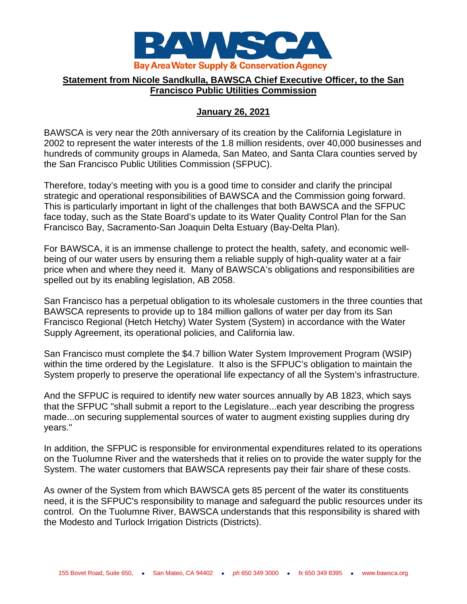

## **Statement from Nicole Sandkulla, BAWSCA Chief Executive Officer, to the San Francisco Public Utilities Commission**

## **January 26, 2021**

BAWSCA is very near the 20th anniversary of its creation by the California Legislature in 2002 to represent the water interests of the 1.8 million residents, over 40,000 businesses and hundreds of community groups in Alameda, San Mateo, and Santa Clara counties served by the San Francisco Public Utilities Commission (SFPUC).

Therefore, today's meeting with you is a good time to consider and clarify the principal strategic and operational responsibilities of BAWSCA and the Commission going forward. This is particularly important in light of the challenges that both BAWSCA and the SFPUC face today, such as the State Board's update to its Water Quality Control Plan for the San Francisco Bay, Sacramento-San Joaquin Delta Estuary (Bay-Delta Plan).

For BAWSCA, it is an immense challenge to protect the health, safety, and economic wellbeing of our water users by ensuring them a reliable supply of high-quality water at a fair price when and where they need it. Many of BAWSCA's obligations and responsibilities are spelled out by its enabling legislation, AB 2058.

San Francisco has a perpetual obligation to its wholesale customers in the three counties that BAWSCA represents to provide up to 184 million gallons of water per day from its San Francisco Regional (Hetch Hetchy) Water System (System) in accordance with the Water Supply Agreement, its operational policies, and California law.

San Francisco must complete the \$4.7 billion Water System Improvement Program (WSIP) within the time ordered by the Legislature. It also is the SFPUC's obligation to maintain the System properly to preserve the operational life expectancy of all the System's infrastructure.

And the SFPUC is required to identify new water sources annually by AB 1823, which says that the SFPUC "shall submit a report to the Legislature...each year describing the progress made...on securing supplemental sources of water to augment existing supplies during dry years."

In addition, the SFPUC is responsible for environmental expenditures related to its operations on the Tuolumne River and the watersheds that it relies on to provide the water supply for the System. The water customers that BAWSCA represents pay their fair share of these costs.

As owner of the System from which BAWSCA gets 85 percent of the water its constituents need, it is the SFPUC's responsibility to manage and safeguard the public resources under its control. On the Tuolumne River, BAWSCA understands that this responsibility is shared with the Modesto and Turlock Irrigation Districts (Districts).